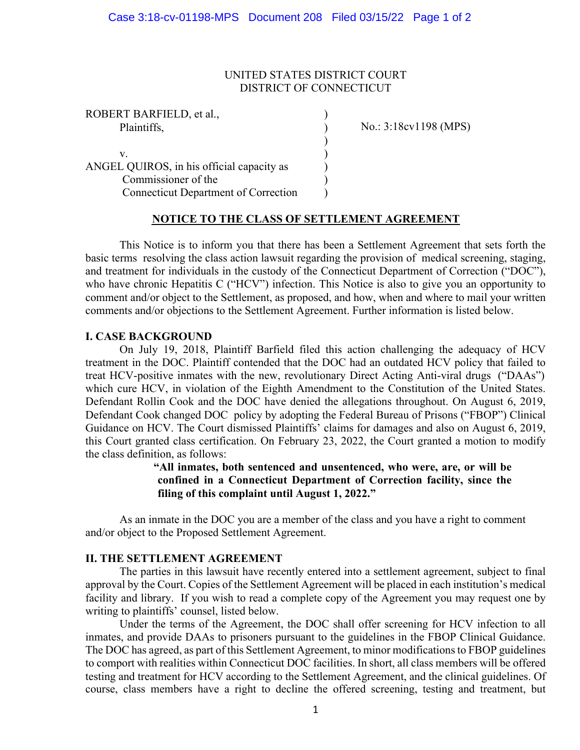#### UNITED STATES DISTRICT COURT DISTRICT OF CONNECTICUT

)

ROBERT BARFIELD, et al., ) Plaintiffs,  $\qquad \qquad$ )

 $\mathbf v.$  ) ANGEL QUIROS, in his official capacity as ) Commissioner of the  $($ Connecticut Department of Correction ) No.: 3:18cv1198 (MPS)

# **NOTICE TO THE CLASS OF SETTLEMENT AGREEMENT**

This Notice is to inform you that there has been a Settlement Agreement that sets forth the basic terms resolving the class action lawsuit regarding the provision of medical screening, staging, and treatment for individuals in the custody of the Connecticut Department of Correction ("DOC"), who have chronic Hepatitis C ("HCV") infection. This Notice is also to give you an opportunity to comment and/or object to the Settlement, as proposed, and how, when and where to mail your written comments and/or objections to the Settlement Agreement. Further information is listed below.

#### **I. CASE BACKGROUND**

On July 19, 2018, Plaintiff Barfield filed this action challenging the adequacy of HCV treatment in the DOC. Plaintiff contended that the DOC had an outdated HCV policy that failed to treat HCV-positive inmates with the new, revolutionary Direct Acting Anti-viral drugs ("DAAs") which cure HCV, in violation of the Eighth Amendment to the Constitution of the United States. Defendant Rollin Cook and the DOC have denied the allegations throughout. On August 6, 2019, Defendant Cook changed DOC policy by adopting the Federal Bureau of Prisons ("FBOP") Clinical Guidance on HCV. The Court dismissed Plaintiffs' claims for damages and also on August 6, 2019, this Court granted class certification. On February 23, 2022, the Court granted a motion to modify the class definition, as follows:

> **"All inmates, both sentenced and unsentenced, who were, are, or will be confined in a Connecticut Department of Correction facility, since the filing of this complaint until August 1, 2022."**

As an inmate in the DOC you are a member of the class and you have a right to comment and/or object to the Proposed Settlement Agreement.

# **II. THE SETTLEMENT AGREEMENT**

The parties in this lawsuit have recently entered into a settlement agreement, subject to final approval by the Court. Copies of the Settlement Agreement will be placed in each institution's medical facility and library. If you wish to read a complete copy of the Agreement you may request one by writing to plaintiffs' counsel, listed below.

Under the terms of the Agreement, the DOC shall offer screening for HCV infection to all inmates, and provide DAAs to prisoners pursuant to the guidelines in the FBOP Clinical Guidance. The DOC has agreed, as part of this Settlement Agreement, to minor modifications to FBOP guidelines to comport with realities within Connecticut DOC facilities. In short, all class members will be offered testing and treatment for HCV according to the Settlement Agreement, and the clinical guidelines. Of course, class members have a right to decline the offered screening, testing and treatment, but